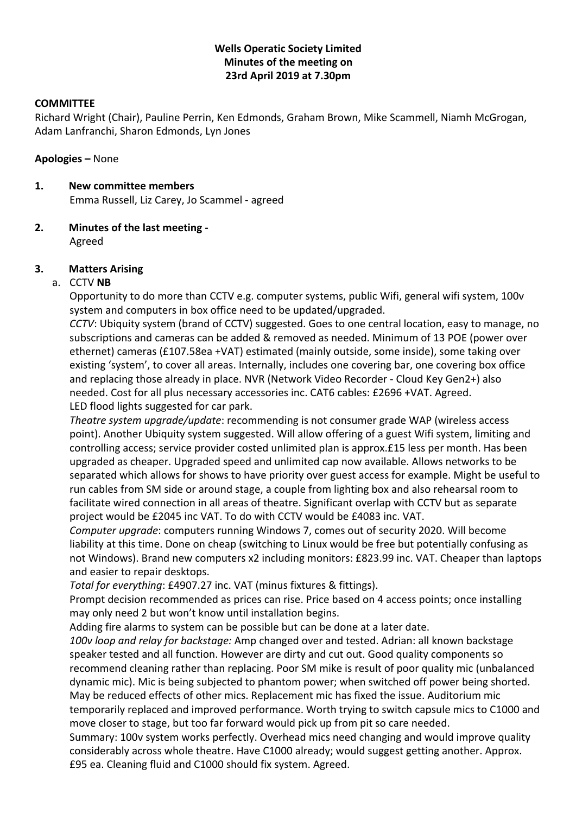## **Wells Operatic Society Limited Minutes of the meeting on 23rd April 2019 at 7.30pm**

## **COMMITTEE**

Richard Wright (Chair), Pauline Perrin, Ken Edmonds, Graham Brown, Mike Scammell, Niamh McGrogan, Adam Lanfranchi, Sharon Edmonds, Lyn Jones

## **Apologies –** None

**1. New committee members** Emma Russell, Liz Carey, Jo Scammel - agreed

## **2. Minutes of the last meeting -** Agreed

## **3. Matters Arising**

## a. CCTV **NB**

Opportunity to do more than CCTV e.g. computer systems, public Wifi, general wifi system, 100v system and computers in box office need to be updated/upgraded.

*CCTV*: Ubiquity system (brand of CCTV) suggested. Goes to one central location, easy to manage, no subscriptions and cameras can be added & removed as needed. Minimum of 13 POE (power over ethernet) cameras (£107.58ea +VAT) estimated (mainly outside, some inside), some taking over existing 'system', to cover all areas. Internally, includes one covering bar, one covering box office and replacing those already in place. NVR (Network Video Recorder - Cloud Key Gen2+) also needed. Cost for all plus necessary accessories inc. CAT6 cables: £2696 +VAT. Agreed. LED flood lights suggested for car park.

*Theatre system upgrade/update*: recommending is not consumer grade WAP (wireless access point). Another Ubiquity system suggested. Will allow offering of a guest Wifi system, limiting and controlling access; service provider costed unlimited plan is approx.£15 less per month. Has been upgraded as cheaper. Upgraded speed and unlimited cap now available. Allows networks to be separated which allows for shows to have priority over guest access for example. Might be useful to run cables from SM side or around stage, a couple from lighting box and also rehearsal room to facilitate wired connection in all areas of theatre. Significant overlap with CCTV but as separate project would be £2045 inc VAT. To do with CCTV would be £4083 inc. VAT.

*Computer upgrade*: computers running Windows 7, comes out of security 2020. Will become liability at this time. Done on cheap (switching to Linux would be free but potentially confusing as not Windows). Brand new computers x2 including monitors: £823.99 inc. VAT. Cheaper than laptops and easier to repair desktops.

*Total for everything*: £4907.27 inc. VAT (minus fixtures & fittings).

Prompt decision recommended as prices can rise. Price based on 4 access points; once installing may only need 2 but won't know until installation begins.

Adding fire alarms to system can be possible but can be done at a later date.

*100v loop and relay for backstage:* Amp changed over and tested. Adrian: all known backstage speaker tested and all function. However are dirty and cut out. Good quality components so recommend cleaning rather than replacing. Poor SM mike is result of poor quality mic (unbalanced dynamic mic). Mic is being subjected to phantom power; when switched off power being shorted. May be reduced effects of other mics. Replacement mic has fixed the issue. Auditorium mic temporarily replaced and improved performance. Worth trying to switch capsule mics to C1000 and move closer to stage, but too far forward would pick up from pit so care needed.

Summary: 100v system works perfectly. Overhead mics need changing and would improve quality considerably across whole theatre. Have C1000 already; would suggest getting another. Approx. £95 ea. Cleaning fluid and C1000 should fix system. Agreed.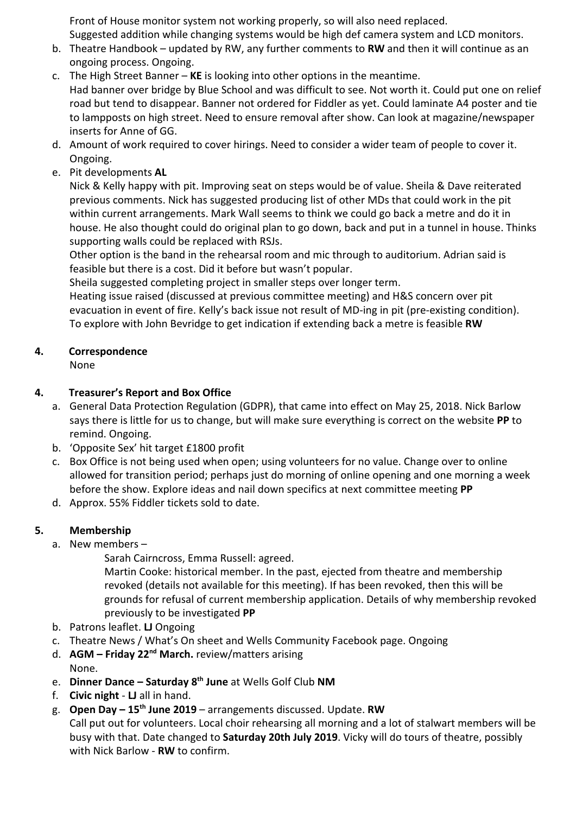Front of House monitor system not working properly, so will also need replaced.

Suggested addition while changing systems would be high def camera system and LCD monitors.

- b. Theatre Handbook updated by RW, any further comments to **RW** and then it will continue as an ongoing process. Ongoing.
- c. The High Street Banner **KE** is looking into other options in the meantime. Had banner over bridge by Blue School and was difficult to see. Not worth it. Could put one on relief road but tend to disappear. Banner not ordered for Fiddler as yet. Could laminate A4 poster and tie to lampposts on high street. Need to ensure removal after show. Can look at magazine/newspaper inserts for Anne of GG.
- d. Amount of work required to cover hirings. Need to consider a wider team of people to cover it. Ongoing.
- e. Pit developments **AL**

Nick & Kelly happy with pit. Improving seat on steps would be of value. Sheila & Dave reiterated previous comments. Nick has suggested producing list of other MDs that could work in the pit within current arrangements. Mark Wall seems to think we could go back a metre and do it in house. He also thought could do original plan to go down, back and put in a tunnel in house. Thinks supporting walls could be replaced with RSJs.

Other option is the band in the rehearsal room and mic through to auditorium. Adrian said is feasible but there is a cost. Did it before but wasn't popular.

Sheila suggested completing project in smaller steps over longer term.

Heating issue raised (discussed at previous committee meeting) and H&S concern over pit evacuation in event of fire. Kelly's back issue not result of MD-ing in pit (pre-existing condition). To explore with John Bevridge to get indication if extending back a metre is feasible **RW**

# **4. Correspondence**

None

## **4. Treasurer's Report and Box Office**

- a. General Data Protection Regulation (GDPR), that came into effect on May 25, 2018. Nick Barlow says there is little for us to change, but will make sure everything is correct on the website **PP** to remind. Ongoing.
- b. 'Opposite Sex' hit target £1800 profit
- c. Box Office is not being used when open; using volunteers for no value. Change over to online allowed for transition period; perhaps just do morning of online opening and one morning a week before the show. Explore ideas and nail down specifics at next committee meeting **PP**
- d. Approx. 55% Fiddler tickets sold to date.

# **5. Membership**

a. New members –

Sarah Cairncross, Emma Russell: agreed.

Martin Cooke: historical member. In the past, ejected from theatre and membership revoked (details not available for this meeting). If has been revoked, then this will be grounds for refusal of current membership application. Details of why membership revoked previously to be investigated **PP**

- b. Patrons leaflet. **LJ** Ongoing
- c. Theatre News / What's On sheet and Wells Community Facebook page. Ongoing
- d. **AGM Friday 22nd March.** review/matters arising None.
- e. **Dinner Dance Saturday 8th June** at Wells Golf Club **NM**
- f. **Civic night LJ** all in hand.
- g. **Open Day 15th June 2019**  arrangements discussed. Update. **RW**

Call put out for volunteers. Local choir rehearsing all morning and a lot of stalwart members will be busy with that. Date changed to **Saturday 20th July 2019**. Vicky will do tours of theatre, possibly with Nick Barlow - **RW** to confirm.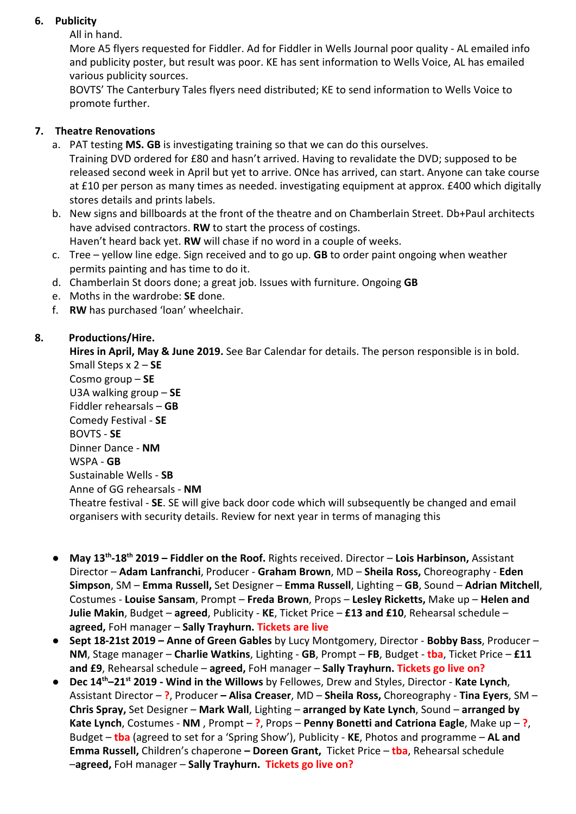## **6. Publicity**

All in hand.

More A5 flyers requested for Fiddler. Ad for Fiddler in Wells Journal poor quality - AL emailed info and publicity poster, but result was poor. KE has sent information to Wells Voice, AL has emailed various publicity sources.

BOVTS' The Canterbury Tales flyers need distributed; KE to send information to Wells Voice to promote further.

# **7. Theatre Renovations**

- a. PAT testing **MS. GB** is investigating training so that we can do this ourselves. Training DVD ordered for £80 and hasn't arrived. Having to revalidate the DVD; supposed to be released second week in April but yet to arrive. ONce has arrived, can start. Anyone can take course at £10 per person as many times as needed. investigating equipment at approx. £400 which digitally stores details and prints labels.
- b. New signs and billboards at the front of the theatre and on Chamberlain Street. Db+Paul architects have advised contractors. **RW** to start the process of costings. Haven't heard back yet. **RW** will chase if no word in a couple of weeks.
- c. Tree yellow line edge. Sign received and to go up. **GB** to order paint ongoing when weather permits painting and has time to do it.
- d. Chamberlain St doors done; a great job. Issues with furniture. Ongoing **GB**
- e. Moths in the wardrobe: **SE** done.
- f. **RW** has purchased 'loan' wheelchair.

## **8. Productions/Hire.**

**Hires in April, May & June 2019.** See Bar Calendar for details. The person responsible is in bold. Small Steps x 2 – **SE**

Cosmo group – **SE** U3A walking group – **SE** Fiddler rehearsals – **GB** Comedy Festival - **SE** BOVTS - **SE** Dinner Dance - **NM** WSPA - **GB** Sustainable Wells - **SB** Anne of GG rehearsals - **NM** Theatre festival - **SE**. SE will give back door code which will subsequently be changed and email organisers with security details. Review for next year in terms of managing this

- **May 13th -18th 2019 Fiddler on the Roof.** Rights received. Director **Lois Harbinson,** Assistant Director – **Adam Lanfranchi**, Producer - **Graham Brown**, MD – **Sheila Ross,** Choreography - **Eden Simpson**, SM – **Emma Russell,** Set Designer – **Emma Russell**, Lighting – **GB**, Sound – **Adrian Mitchell**, Costumes - **Louise Sansam**, Prompt – **Freda Brown**, Props – **Lesley Ricketts,** Make up – **Helen and Julie Makin**, Budget – **agreed**, Publicity - **KE**, Ticket Price – **£13 and £10**, Rehearsal schedule – **agreed,** FoH manager – **Sally Trayhurn. Tickets are live**
- **Sept 18-21st 2019 Anne of Green Gables** by Lucy Montgomery, Director **Bobby Bass**, Producer **NM**, Stage manager – **Charlie Watkins**, Lighting - **GB**, Prompt – **FB**, Budget - **tba**, Ticket Price – **£11 and £9**, Rehearsal schedule – **agreed,** FoH manager – **Sally Trayhurn. Tickets go live on?**
- **Dec 14th–21st 2019 Wind in the Willows** by Fellowes, Drew and Styles, Director **Kate Lynch**, Assistant Director – **?**, Producer **– Alisa Creaser**, MD – **Sheila Ross,** Choreography - **Tina Eyers**, SM – **Chris Spray,** Set Designer – **Mark Wall**, Lighting – **arranged by Kate Lynch**, Sound – **arranged by Kate Lynch**, Costumes - **NM** , Prompt – **?**, Props – **Penny Bonetti and Catriona Eagle**, Make up – **?**, Budget – **tba** (agreed to set for a 'Spring Show'), Publicity - **KE**, Photos and programme – **AL and Emma Russell,** Children's chaperone **– Doreen Grant,** Ticket Price – **tba**, Rehearsal schedule –**agreed,** FoH manager – **Sally Trayhurn. Tickets go live on?**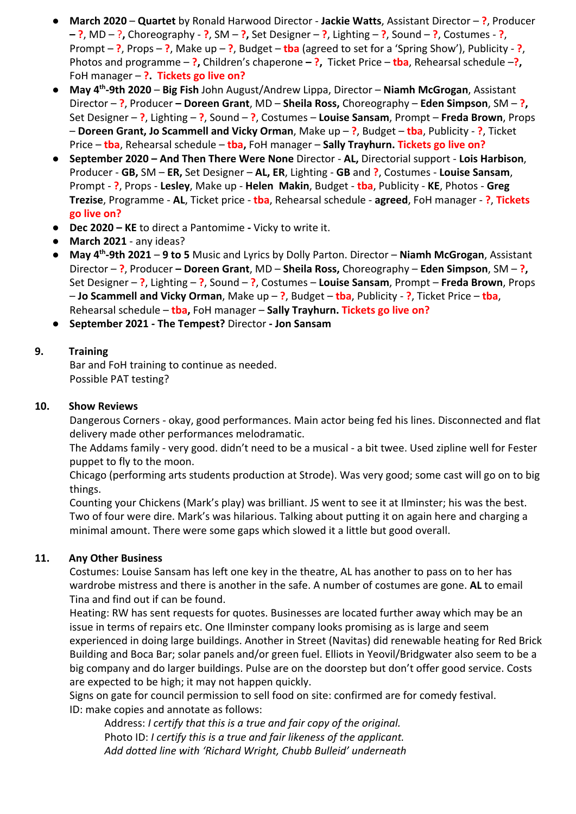- **March 2020 Quartet** by Ronald Harwood Director **Jackie Watts**, Assistant Director **?**, Producer **– ?**, MD – ?**,** Choreography - **?**, SM – **?,** Set Designer – **?**, Lighting – **?**, Sound – **?**, Costumes - **?**, Prompt – **?**, Props – **?**, Make up – **?**, Budget – **tba** (agreed to set for a 'Spring Show'), Publicity - **?**, Photos and programme – **?,** Children's chaperone **– ?,** Ticket Price – **tba**, Rehearsal schedule –**?,** FoH manager – **?. Tickets go live on?**
- **May 4th -9th 2020 Big Fish** John August/Andrew Lippa, Director – **Niamh McGrogan**, Assistant Director – **?**, Producer **– Doreen Grant**, MD – **Sheila Ross,** Choreography – **Eden Simpson**, SM – **?,** Set Designer – **?**, Lighting – **?**, Sound – **?**, Costumes – **Louise Sansam**, Prompt – **Freda Brown**, Props – **Doreen Grant, Jo Scammell and Vicky Orman**, Make up – **?**, Budget – **tba**, Publicity - **?**, Ticket Price – **tba**, Rehearsal schedule – **tba,** FoH manager – **Sally Trayhurn. Tickets go live on?**
- **September 2020 And Then There Were None** Director **AL,** Directorial support **Lois Harbison**, Producer - **GB,** SM – **ER,** Set Designer – **AL, ER**, Lighting - **GB** and **?**, Costumes - **Louise Sansam**, Prompt - **?**, Props - **Lesley**, Make up - **Helen Makin**, Budget - **tba**, Publicity - **KE**, Photos - **Greg Trezise**, Programme - **AL**, Ticket price - **tba**, Rehearsal schedule - **agreed**, FoH manager - **?**, **Tickets go live on?**
- **Dec 2020 KE** to direct a PantomimeVicky to write it.
- **March 2021** any ideas?
- **May 4th -9th 2021 9 to 5** Music and Lyrics by Dolly Parton. Director – **Niamh McGrogan**, Assistant Director – **?**, Producer **– Doreen Grant**, MD – **Sheila Ross,** Choreography – **Eden Simpson**, SM – **?,** Set Designer – **?**, Lighting – **?**, Sound – **?**, Costumes – **Louise Sansam**, Prompt – **Freda Brown**, Props – **Jo Scammell and Vicky Orman**, Make up – **?**, Budget – **tba**, Publicity - **?**, Ticket Price – **tba**, Rehearsal schedule – **tba,** FoH manager – **Sally Trayhurn. Tickets go live on?**
- **September 2021 The Tempest?** Director **- Jon Sansam**

## **9. Training**

Bar and FoH training to continue as needed. Possible PAT testing?

## **10. Show Reviews**

Dangerous Corners - okay, good performances. Main actor being fed his lines. Disconnected and flat delivery made other performances melodramatic.

The Addams family - very good. didn't need to be a musical - a bit twee. Used zipline well for Fester puppet to fly to the moon.

Chicago (performing arts students production at Strode). Was very good; some cast will go on to big things.

Counting your Chickens (Mark's play) was brilliant. JS went to see it at Ilminster; his was the best. Two of four were dire. Mark's was hilarious. Talking about putting it on again here and charging a minimal amount. There were some gaps which slowed it a little but good overall.

## **11. Any Other Business**

Costumes: Louise Sansam has left one key in the theatre, AL has another to pass on to her has wardrobe mistress and there is another in the safe. A number of costumes are gone. **AL** to email Tina and find out if can be found.

Heating: RW has sent requests for quotes. Businesses are located further away which may be an issue in terms of repairs etc. One Ilminster company looks promising as is large and seem experienced in doing large buildings. Another in Street (Navitas) did renewable heating for Red Brick Building and Boca Bar; solar panels and/or green fuel. Elliots in Yeovil/Bridgwater also seem to be a big company and do larger buildings. Pulse are on the doorstep but don't offer good service. Costs are expected to be high; it may not happen quickly.

Signs on gate for council permission to sell food on site: confirmed are for comedy festival. ID: make copies and annotate as follows:

Address: *I certify that this is a true and fair copy of the original.* Photo ID: *I certify this is a true and fair likeness of the applicant. Add dotted line with 'Richard Wright, Chubb Bulleid' underneath*